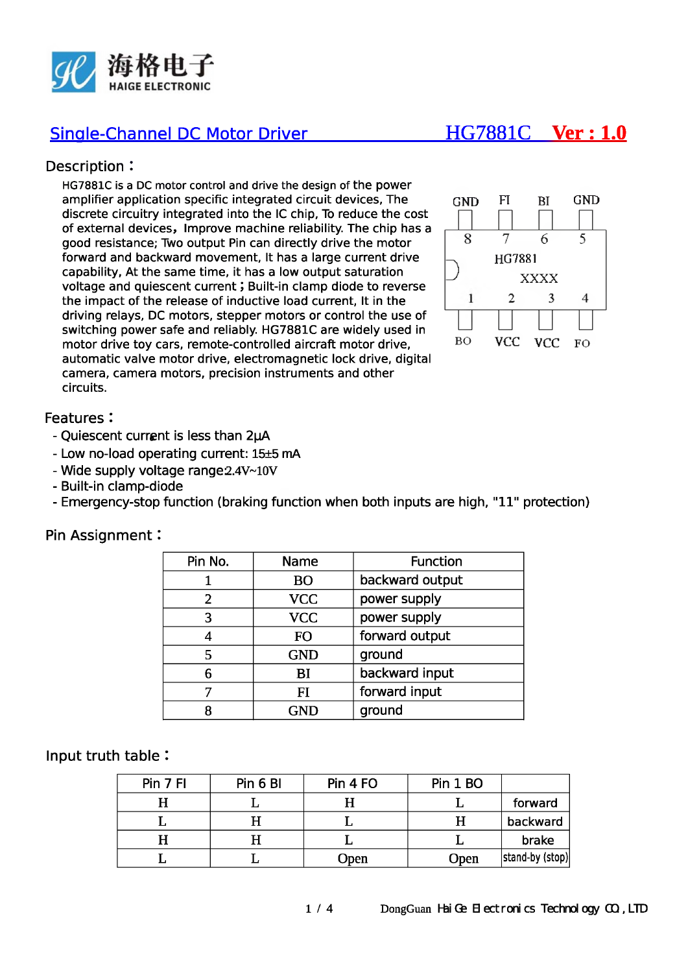

# Single-Channel DC Motor Driver\_\_\_\_\_\_\_\_\_\_\_\_\_\_**HG7881C Ver : 1.0**

## Description :

HG7881C is a DC motor control and drive the design of the power amplifier application specific integrated circuit devices, The discrete circuitry integrated into the 1C chip, To reduce the cost of external devices, Improve machine reliability. The chip has a good resistance; Two output Pin can directly drive the motor forward and backward movement, It has a large current drive capability, At the same time, it has a low output saturation voltage and quiescent current; Built-in clamp diode to reverse the impact of the release of inductive load current, It in the driving relays, DC motors, stepper motors or control the use of switching power safe and reliably. HG7881C are widely used in motor drive toy cars, remote-controlled aircraft motor drive, automatic valve motor drive, electromagnetic lock drive, digital camera, camera motors, precision instruments and other circuits.



### Features :

- Quiescent current is less than 2µA
- Low no-load operating current: 15±5 mA
- Wide supply voltage range 2.4V~10V
- Built-in clamp-diode
- Emergency-stop function (braking function when both inputs are high, "11" protection)

| Pin No.        | <b>Name</b> | <b>Function</b> |  |  |
|----------------|-------------|-----------------|--|--|
|                | <b>BO</b>   | backward output |  |  |
| $\overline{2}$ | <b>VCC</b>  | power supply    |  |  |
| 3              | <b>VCC</b>  | power supply    |  |  |
|                | <b>FO</b>   | forward output  |  |  |
| 5              | <b>GND</b>  | ground          |  |  |
| 6              | BI          | backward input  |  |  |
|                | FI          | forward input   |  |  |
| 8              | <b>GND</b>  | ground          |  |  |
|                |             |                 |  |  |

### Pin Assignment:

### Input truth table :

| Pin 7 FI | Pin 6 BI | Pin 4 FO | Pin 1 BO |                 |  |
|----------|----------|----------|----------|-----------------|--|
|          |          |          |          | forward         |  |
|          |          |          |          | backward        |  |
| Н        |          |          |          | brake           |  |
|          |          | Open     | Open     | stand-by (stop) |  |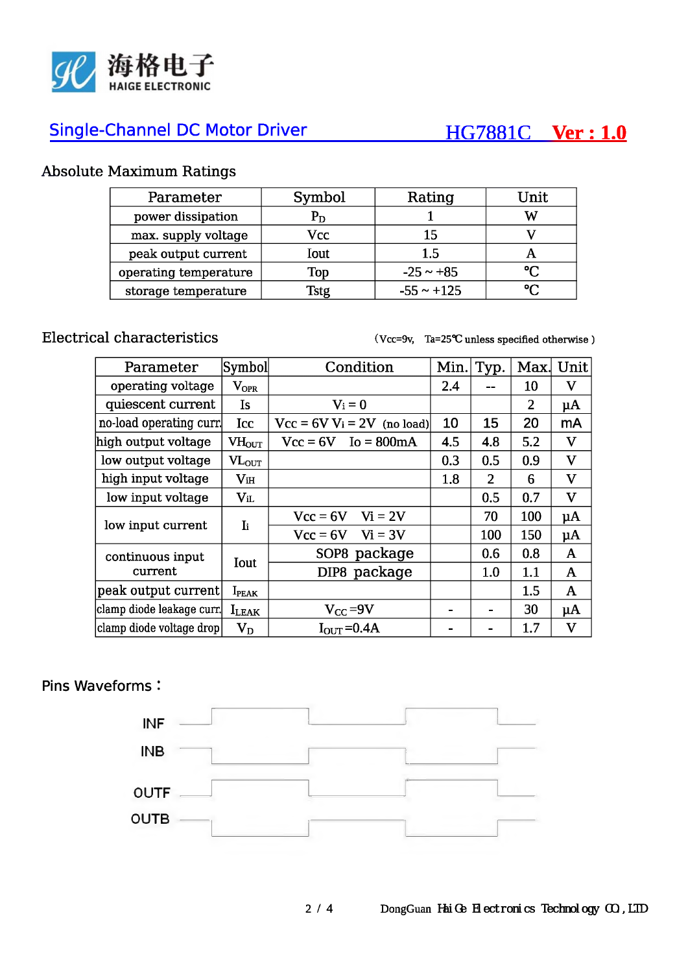

# Single-Channel DC Motor Driver **HG7881C V er: 1.0**

## **Absolute Maximum Ratings**

| Parameter             | Symbol                    | Rating          | Unit   |  |
|-----------------------|---------------------------|-----------------|--------|--|
| power dissipation     | $\mathbf{P}_{\mathbf{D}}$ |                 | W      |  |
| max. supply voltage   | Vcc                       | 15              |        |  |
| peak output current   | Iout                      | 1.5             |        |  |
| operating temperature | Top                       | $-25 \sim +85$  | $\sim$ |  |
| storage temperature   | Istg                      | $-55 \sim +125$ |        |  |

**Electrical characteristics (Vcc=9v, Ta=25<t unless specified otherwise )**

| Parameter                   | Symbol            | Condition                     | Min. | Typ.           | Max.           | Unit                      |
|-----------------------------|-------------------|-------------------------------|------|----------------|----------------|---------------------------|
| operating voltage           | $\rm V_{OPR}$     |                               | 2.4  |                | 10             | $\mathbf V$               |
| quiescent current           | Is                | $V_i = 0$                     |      |                | $\overline{2}$ | $\mu$ A                   |
| no-load operating curr.     | Icc               | $Vcc = 6V V_i = 2V$ (no load) | 10   | 15             | 20             | mA                        |
| high output voltage         | $VH_{\text{OUT}}$ | $Vcc = 6V$ Io = 800mA         | 4.5  | 4.8            | 5.2            | $\mathbf{V}$              |
| low output voltage          | $VL_{OUT}$        |                               | 0.3  | 0.5            | 0.9            | $\boldsymbol{\mathrm{V}}$ |
| high input voltage          | $V_{iH}$          |                               | 1.8  | $\overline{2}$ | 6              | $\mathbf{V}$              |
| low input voltage           | $V_{iL}$          |                               |      | 0.5            | 0.7            | $\mathbf V$               |
| low input current           | $\mathbf{I}$ i    | $Vi = 2V$<br>$Vcc = 6V$       |      | 70             | 100            | $\mu$ A                   |
|                             |                   | $Vcc = 6V$<br>$Vi = 3V$       |      | 100            | 150            | $\mu$ A                   |
| continuous input<br>current | Iout              | SOP8 package                  |      | 0.6            | 0.8            | $\mathbf{A}$              |
|                             |                   | DIP8 package                  |      | 1.0            | 1.1            | A                         |
| peak output current         | $I_{\rm PEAK}$    |                               |      |                | 1.5            | $\mathbf{A}$              |
| clamp diode leakage curr.   | $I_{LEAK}$        | $V_{CC} = 9V$                 |      |                | 30             | $\mu$ A                   |
| clamp diode voltage drop    | $\rm V_D$         | $I_{\text{OUT}} = 0.4A$       |      |                | 1.7            | $\boldsymbol{\mathrm{V}}$ |

## Pins Waveforms :

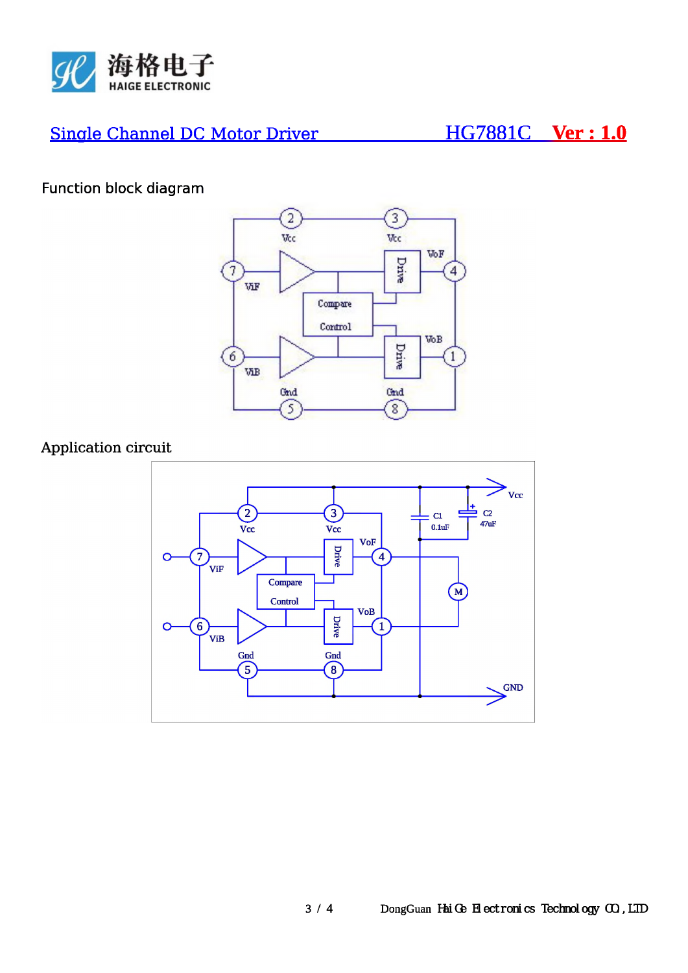

# **Single Channel DC Motor Driver**

# HG7881C Ver: 1.0

# Function block diagram



## Application circuit